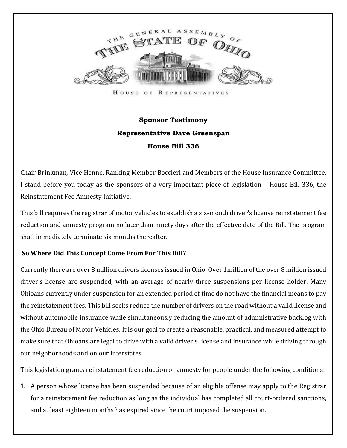

HOUSE OF REPRESENTATIVES

## **Sponsor Testimony Representative Dave Greenspan House Bill 336**

Chair Brinkman, Vice Henne, Ranking Member Boccieri and Members of the House Insurance Committee, I stand before you today as the sponsors of a very important piece of legislation – House Bill 336, the Reinstatement Fee Amnesty Initiative.

This bill requires the registrar of motor vehicles to establish a six-month driver's license reinstatement fee reduction and amnesty program no later than ninety days after the effective date of the Bill. The program shall immediately terminate six months thereafter.

## **So Where Did This Concept Come From For This Bill?**

Currently there are over 8 million drivers licenses issued in Ohio. Over 1million of the over 8 million issued driver's license are suspended, with an average of nearly three suspensions per license holder. Many Ohioans currently under suspension for an extended period of time do not have the financial means to pay the reinstatement fees. This bill seeks reduce the number of drivers on the road without a valid license and without automobile insurance while simultaneously reducing the amount of administrative backlog with the Ohio Bureau of Motor Vehicles. It is our goal to create a reasonable, practical, and measured attempt to make sure that Ohioans are legal to drive with a valid driver's license and insurance while driving through our neighborhoods and on our interstates.

This legislation grants reinstatement fee reduction or amnesty for people under the following conditions:

1. A person whose license has been suspended because of an eligible offense may apply to the Registrar for a reinstatement fee reduction as long as the individual has completed all court-ordered sanctions, and at least eighteen months has expired since the court imposed the suspension.